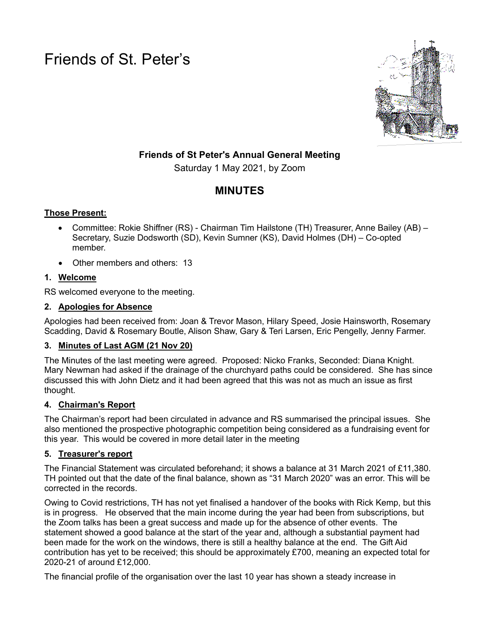Friends of St. Peter's



# **Friends of St Peter's Annual General Meeting**

Saturday 1 May 2021, by Zoom

# **MINUTES**

# **Those Present:**

- Committee: Rokie Shiffner (RS) Chairman Tim Hailstone (TH) Treasurer, Anne Bailey (AB) Secretary, Suzie Dodsworth (SD), Kevin Sumner (KS), David Holmes (DH) – Co-opted member.
- Other members and others: 13

# **1. Welcome**

RS welcomed everyone to the meeting.

#### **2. Apologies for Absence**

Apologies had been received from: Joan & Trevor Mason, Hilary Speed, Josie Hainsworth, Rosemary Scadding, David & Rosemary Boutle, Alison Shaw, Gary & Teri Larsen, Eric Pengelly, Jenny Farmer.

# **3. Minutes of Last AGM (21 Nov 20)**

The Minutes of the last meeting were agreed. Proposed: Nicko Franks, Seconded: Diana Knight. Mary Newman had asked if the drainage of the churchyard paths could be considered. She has since discussed this with John Dietz and it had been agreed that this was not as much an issue as first thought.

# **4. Chairman's Report**

The Chairman's report had been circulated in advance and RS summarised the principal issues. She also mentioned the prospective photographic competition being considered as a fundraising event for this year. This would be covered in more detail later in the meeting

# **5. Treasurer's report**

The Financial Statement was circulated beforehand; it shows a balance at 31 March 2021 of £11,380. TH pointed out that the date of the final balance, shown as "31 March 2020" was an error. This will be corrected in the records.

Owing to Covid restrictions, TH has not yet finalised a handover of the books with Rick Kemp, but this is in progress. He observed that the main income during the year had been from subscriptions, but the Zoom talks has been a great success and made up for the absence of other events. The statement showed a good balance at the start of the year and, although a substantial payment had been made for the work on the windows, there is still a healthy balance at the end. The Gift Aid contribution has yet to be received; this should be approximately £700, meaning an expected total for 2020-21 of around £12,000.

The financial profile of the organisation over the last 10 year has shown a steady increase in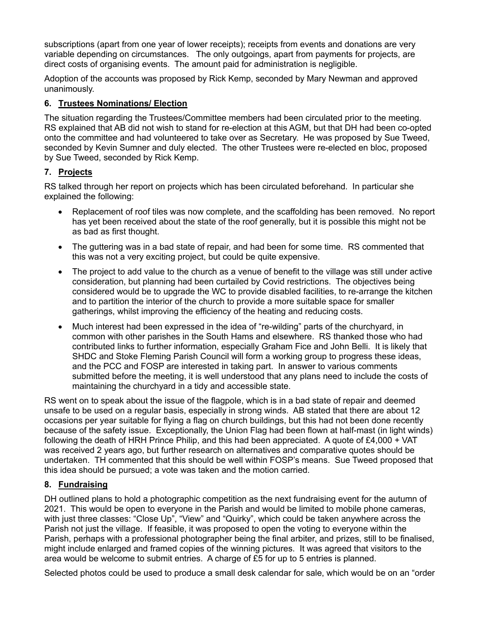subscriptions (apart from one year of lower receipts); receipts from events and donations are very variable depending on circumstances. The only outgoings, apart from payments for projects, are direct costs of organising events. The amount paid for administration is negligible.

Adoption of the accounts was proposed by Rick Kemp, seconded by Mary Newman and approved unanimously.

#### **6. Trustees Nominations/ Election**

The situation regarding the Trustees/Committee members had been circulated prior to the meeting. RS explained that AB did not wish to stand for re-election at this AGM, but that DH had been co-opted onto the committee and had volunteered to take over as Secretary. He was proposed by Sue Tweed, seconded by Kevin Sumner and duly elected. The other Trustees were re-elected en bloc, proposed by Sue Tweed, seconded by Rick Kemp.

#### **7. Projects**

RS talked through her report on projects which has been circulated beforehand. In particular she explained the following:

- Replacement of roof tiles was now complete, and the scaffolding has been removed. No report has yet been received about the state of the roof generally, but it is possible this might not be as bad as first thought.
- The guttering was in a bad state of repair, and had been for some time. RS commented that this was not a very exciting project, but could be quite expensive.
- The project to add value to the church as a venue of benefit to the village was still under active consideration, but planning had been curtailed by Covid restrictions. The objectives being considered would be to upgrade the WC to provide disabled facilities, to re-arrange the kitchen and to partition the interior of the church to provide a more suitable space for smaller gatherings, whilst improving the efficiency of the heating and reducing costs.
- Much interest had been expressed in the idea of "re-wilding" parts of the churchyard, in common with other parishes in the South Hams and elsewhere. RS thanked those who had contributed links to further information, especially Graham Fice and John Belli. It is likely that SHDC and Stoke Fleming Parish Council will form a working group to progress these ideas, and the PCC and FOSP are interested in taking part. In answer to various comments submitted before the meeting, it is well understood that any plans need to include the costs of maintaining the churchyard in a tidy and accessible state.

RS went on to speak about the issue of the flagpole, which is in a bad state of repair and deemed unsafe to be used on a regular basis, especially in strong winds. AB stated that there are about 12 occasions per year suitable for flying a flag on church buildings, but this had not been done recently because of the safety issue. Exceptionally, the Union Flag had been flown at half-mast (in light winds) following the death of HRH Prince Philip, and this had been appreciated. A quote of £4,000 + VAT was received 2 years ago, but further research on alternatives and comparative quotes should be undertaken. TH commented that this should be well within FOSP's means. Sue Tweed proposed that this idea should be pursued; a vote was taken and the motion carried.

#### **8. Fundraising**

DH outlined plans to hold a photographic competition as the next fundraising event for the autumn of 2021. This would be open to everyone in the Parish and would be limited to mobile phone cameras, with just three classes: "Close Up", "View" and "Quirky", which could be taken anywhere across the Parish not just the village. If feasible, it was proposed to open the voting to everyone within the Parish, perhaps with a professional photographer being the final arbiter, and prizes, still to be finalised, might include enlarged and framed copies of the winning pictures. It was agreed that visitors to the area would be welcome to submit entries. A charge of £5 for up to 5 entries is planned.

Selected photos could be used to produce a small desk calendar for sale, which would be on an "order